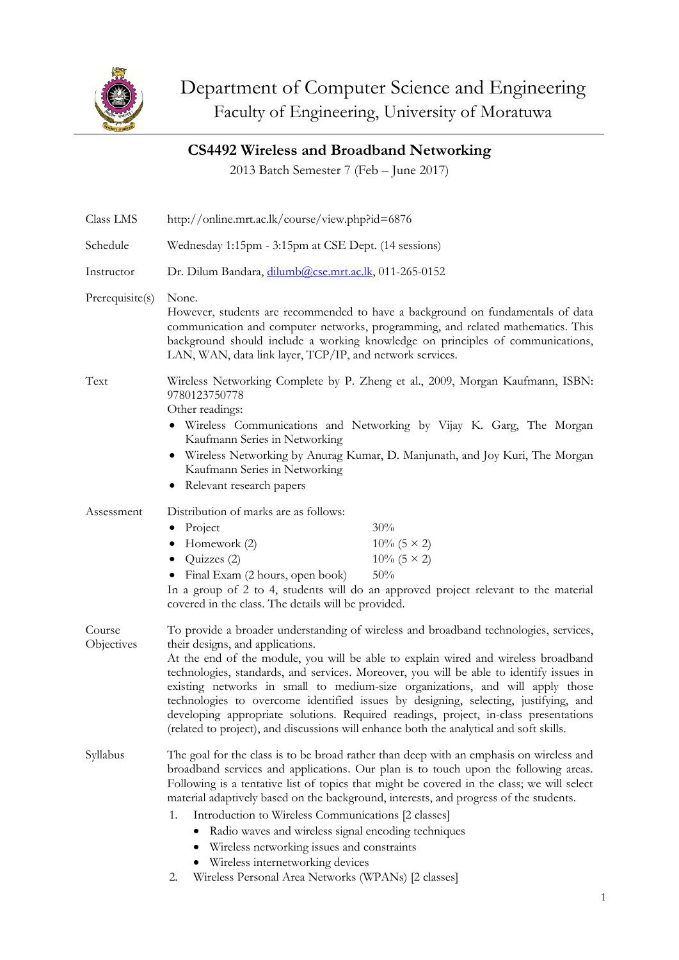

## **CS4492 Wireless and Broadband Networking**

2013 Batch Semester 7 (Feb – June 2017)

| Class LMS            | http://online.mrt.ac.lk/course/view.php?id=6876                                                                                                                                                                                                                                                                                                                                                                                                                                                                                                                                                                                                                      |  |
|----------------------|----------------------------------------------------------------------------------------------------------------------------------------------------------------------------------------------------------------------------------------------------------------------------------------------------------------------------------------------------------------------------------------------------------------------------------------------------------------------------------------------------------------------------------------------------------------------------------------------------------------------------------------------------------------------|--|
| Schedule             | Wednesday 1:15pm - 3:15pm at CSE Dept. (14 sessions)                                                                                                                                                                                                                                                                                                                                                                                                                                                                                                                                                                                                                 |  |
| Instructor           | Dr. Dilum Bandara, dilumb@cse.mrt.ac.lk, 011-265-0152                                                                                                                                                                                                                                                                                                                                                                                                                                                                                                                                                                                                                |  |
| Prerequisite(s)      | None.<br>However, students are recommended to have a background on fundamentals of data<br>communication and computer networks, programming, and related mathematics. This<br>background should include a working knowledge on principles of communications,<br>LAN, WAN, data link layer, TCP/IP, and network services.                                                                                                                                                                                                                                                                                                                                             |  |
| Text                 | Wireless Networking Complete by P. Zheng et al., 2009, Morgan Kaufmann, ISBN:<br>9780123750778<br>Other readings:<br>• Wireless Communications and Networking by Vijay K. Garg, The Morgan<br>Kaufmann Series in Networking<br>Wireless Networking by Anurag Kumar, D. Manjunath, and Joy Kuri, The Morgan<br>Kaufmann Series in Networking<br>Relevant research papers                                                                                                                                                                                                                                                                                              |  |
| Assessment           | Distribution of marks are as follows:<br>30%<br>Project<br>٠<br>Homework (2)<br>$10\%$ (5 × 2)<br>Quizzes (2)<br>$10\%$ (5 × 2)<br>٠<br>Final Exam (2 hours, open book)<br>50%<br>In a group of 2 to 4, students will do an approved project relevant to the material<br>covered in the class. The details will be provided.                                                                                                                                                                                                                                                                                                                                         |  |
| Course<br>Objectives | To provide a broader understanding of wireless and broadband technologies, services,<br>their designs, and applications.<br>At the end of the module, you will be able to explain wired and wireless broadband<br>technologies, standards, and services. Moreover, you will be able to identify issues in<br>existing networks in small to medium-size organizations, and will apply those<br>technologies to overcome identified issues by designing, selecting, justifying, and<br>developing appropriate solutions. Required readings, project, in-class presentations<br>(related to project), and discussions will enhance both the analytical and soft skills. |  |
| Syllabus             | The goal for the class is to be broad rather than deep with an emphasis on wireless and<br>broadband services and applications. Our plan is to touch upon the following areas.<br>Following is a tentative list of topics that might be covered in the class; we will select<br>material adaptively based on the background, interests, and progress of the students.<br>Introduction to Wireless Communications [2 classes]<br>1.<br>Radio waves and wireless signal encoding techniques<br>Wireless networking issues and constraints<br>Wireless internetworking devices                                                                                          |  |

2. Wireless Personal Area Networks (WPANs) [2 classes]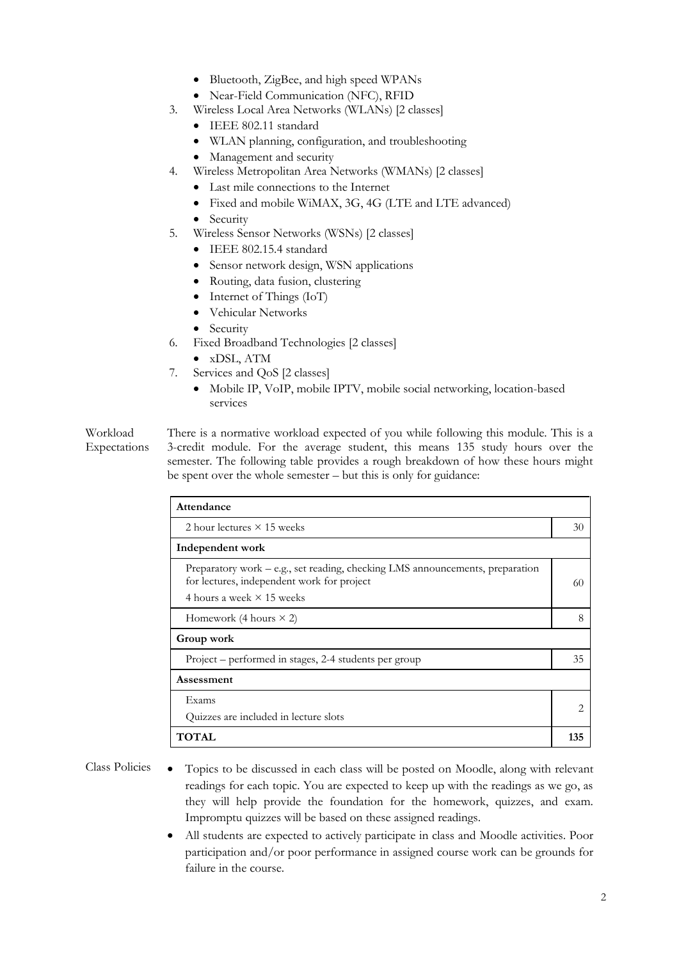- Bluetooth, ZigBee, and high speed WPANs
- Near-Field Communication (NFC), RFID
- 3. Wireless Local Area Networks (WLANs) [2 classes]
	- IEEE 802.11 standard
	- WLAN planning, configuration, and troubleshooting
	- Management and security
- 4. Wireless Metropolitan Area Networks (WMANs) [2 classes]
	- Last mile connections to the Internet
	- Fixed and mobile WiMAX, 3G, 4G (LTE and LTE advanced)
	- Security
- 5. Wireless Sensor Networks (WSNs) [2 classes]
	- IEEE 802.15.4 standard
	- Sensor network design, WSN applications
	- Routing, data fusion, clustering
	- Internet of Things (IoT)
	- Vehicular Networks
	- Security
- 6. Fixed Broadband Technologies [2 classes]
	- xDSL, ATM
- 7. Services and QoS [2 classes]
	- Mobile IP, VoIP, mobile IPTV, mobile social networking, location-based services

Workload Expectations

There is a normative workload expected of you while following this module. This is a 3-credit module. For the average student, this means 135 study hours over the semester. The following table provides a rough breakdown of how these hours might be spent over the whole semester – but this is only for guidance:

| Attendance                                                                                                                                                      |    |  |
|-----------------------------------------------------------------------------------------------------------------------------------------------------------------|----|--|
| 2 hour lectures $\times$ 15 weeks                                                                                                                               |    |  |
| Independent work                                                                                                                                                |    |  |
| Preparatory work – e.g., set reading, checking LMS announcements, preparation<br>for lectures, independent work for project<br>4 hours a week $\times$ 15 weeks | 60 |  |
| Homework (4 hours $\times$ 2)                                                                                                                                   |    |  |
| Group work                                                                                                                                                      |    |  |
| Project – performed in stages, 2-4 students per group                                                                                                           | 35 |  |
| Assessment                                                                                                                                                      |    |  |
| Exams                                                                                                                                                           |    |  |
| Quizzes are included in lecture slots                                                                                                                           |    |  |
| <b>TOTAL</b>                                                                                                                                                    |    |  |

- Class Policies Topics to be discussed in each class will be posted on Moodle, along with relevant readings for each topic. You are expected to keep up with the readings as we go, as they will help provide the foundation for the homework, quizzes, and exam. Impromptu quizzes will be based on these assigned readings.
	- All students are expected to actively participate in class and Moodle activities. Poor participation and/or poor performance in assigned course work can be grounds for failure in the course.